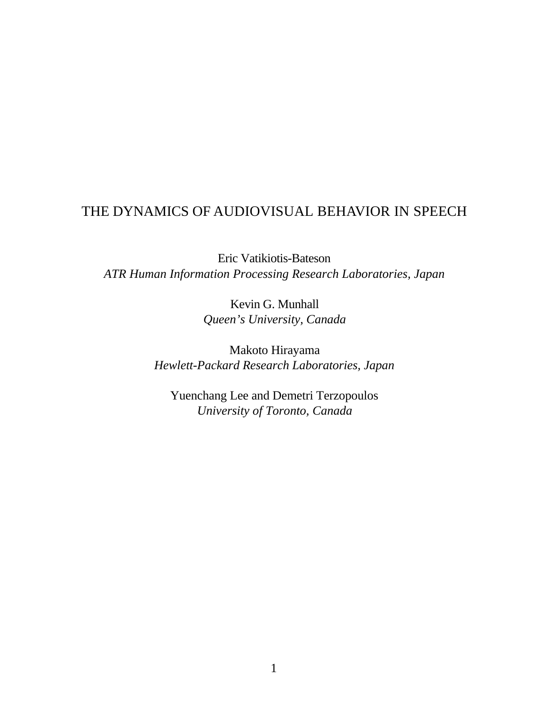# THE DYNAMICS OF AUDIOVISUAL BEHAVIOR IN SPEECH

Eric Vatikiotis-Bateson *ATR Human Information Processing Research Laboratories, Japan*

> Kevin G. Munhall *Queen's University, Canada*

Makoto Hirayama *Hewlett-Packard Research Laboratories, Japan*

Yuenchang Lee and Demetri Terzopoulos *University of Toronto, Canada*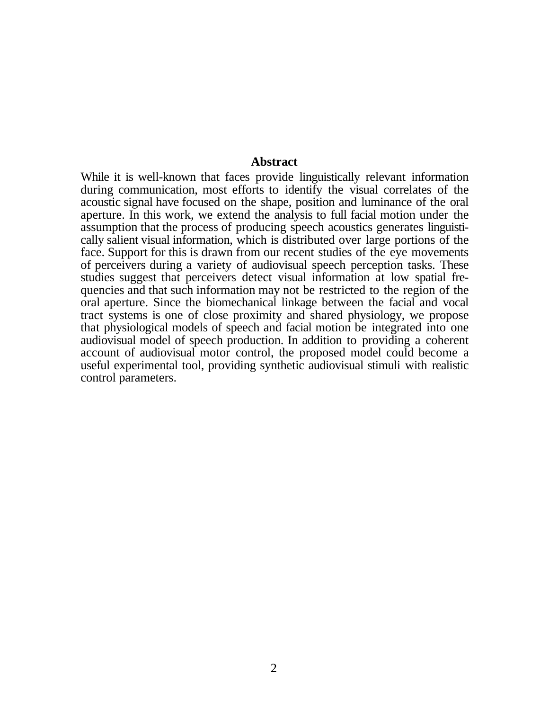#### **Abstract**

While it is well-known that faces provide linguistically relevant information during communication, most efforts to identify the visual correlates of the acoustic signal have focused on the shape, position and luminance of the oral aperture. In this work, we extend the analysis to full facial motion under the assumption that the process of producing speech acoustics generates linguistically salient visual information, which is distributed over large portions of the face. Support for this is drawn from our recent studies of the eye movements of perceivers during a variety of audiovisual speech perception tasks. These studies suggest that perceivers detect visual information at low spatial frequencies and that such information may not be restricted to the region of the oral aperture. Since the biomechanical linkage between the facial and vocal tract systems is one of close proximity and shared physiology, we propose that physiological models of speech and facial motion be integrated into one audiovisual model of speech production. In addition to providing a coherent account of audiovisual motor control, the proposed model could become a useful experimental tool, providing synthetic audiovisual stimuli with realistic control parameters.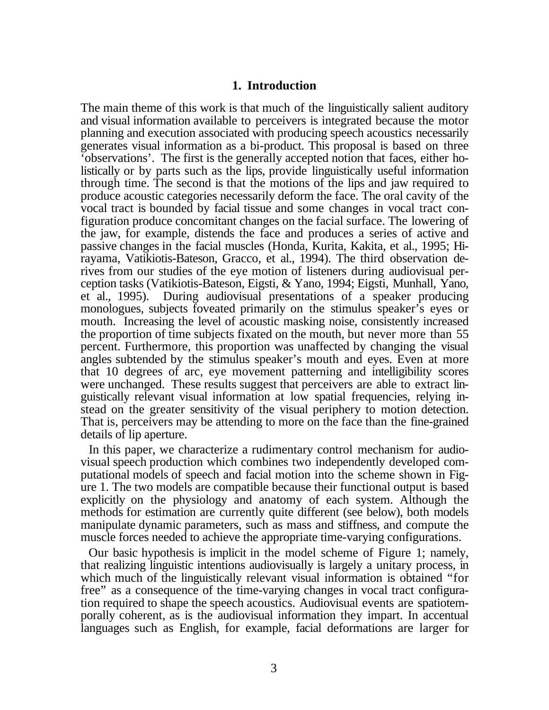### **1. Introduction**

The main theme of this work is that much of the linguistically salient auditory and visual information available to perceivers is integrated because the motor planning and execution associated with producing speech acoustics necessarily generates visual information as a bi-product. This proposal is based on three 'observations'. The first is the generally accepted notion that faces, either holistically or by parts such as the lips, provide linguistically useful information through time. The second is that the motions of the lips and jaw required to produce acoustic categories necessarily deform the face. The oral cavity of the vocal tract is bounded by facial tissue and some changes in vocal tract configuration produce concomitant changes on the facial surface. The lowering of the jaw, for example, distends the face and produces a series of active and passive changes in the facial muscles (Honda, Kurita, Kakita, et al., 1995; Hirayama, Vatikiotis-Bateson, Gracco, et al., 1994). The third observation derives from our studies of the eye motion of listeners during audiovisual perception tasks (Vatikiotis-Bateson, Eigsti, & Yano, 1994; Eigsti, Munhall, Yano, et al., 1995). During audiovisual presentations of a speaker producing monologues, subjects foveated primarily on the stimulus speaker's eyes or mouth. Increasing the level of acoustic masking noise, consistently increased the proportion of time subjects fixated on the mouth, but never more than 55 percent. Furthermore, this proportion was unaffected by changing the visual angles subtended by the stimulus speaker's mouth and eyes. Even at more that 10 degrees of arc, eye movement patterning and intelligibility scores were unchanged. These results suggest that perceivers are able to extract linguistically relevant visual information at low spatial frequencies, relying instead on the greater sensitivity of the visual periphery to motion detection. That is, perceivers may be attending to more on the face than the fine-grained details of lip aperture.

In this paper, we characterize a rudimentary control mechanism for audiovisual speech production which combines two independently developed computational models of speech and facial motion into the scheme shown in Figure 1. The two models are compatible because their functional output is based explicitly on the physiology and anatomy of each system. Although the methods for estimation are currently quite different (see below), both models manipulate dynamic parameters, such as mass and stiffness, and compute the muscle forces needed to achieve the appropriate time-varying configurations.

Our basic hypothesis is implicit in the model scheme of Figure 1; namely, that realizing linguistic intentions audiovisually is largely a unitary process, in which much of the linguistically relevant visual information is obtained "for free" as a consequence of the time-varying changes in vocal tract configuration required to shape the speech acoustics. Audiovisual events are spatiotemporally coherent, as is the audiovisual information they impart. In accentual languages such as English, for example, facial deformations are larger for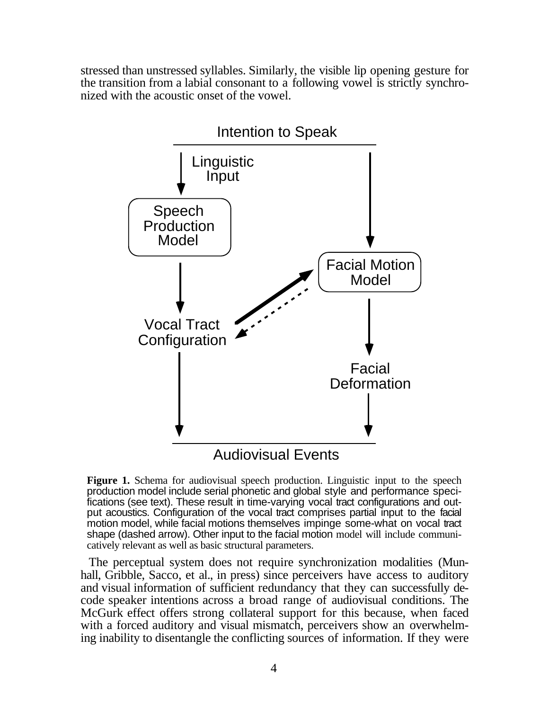stressed than unstressed syllables. Similarly, the visible lip opening gesture for the transition from a labial consonant to a following vowel is strictly synchronized with the acoustic onset of the vowel.



# Audiovisual Events

**Figure 1.** Schema for audiovisual speech production. Linguistic input to the speech production model include serial phonetic and global style and performance specifications (see text). These result in time-varying vocal tract configurations and output acoustics. Configuration of the vocal tract comprises partial input to the facial motion model, while facial motions themselves impinge some-what on vocal tract shape (dashed arrow). Other input to the facial motion model will include communicatively relevant as well as basic structural parameters.

The perceptual system does not require synchronization modalities (Munhall, Gribble, Sacco, et al., in press) since perceivers have access to auditory and visual information of sufficient redundancy that they can successfully decode speaker intentions across a broad range of audiovisual conditions. The McGurk effect offers strong collateral support for this because, when faced with a forced auditory and visual mismatch, perceivers show an overwhelming inability to disentangle the conflicting sources of information. If they were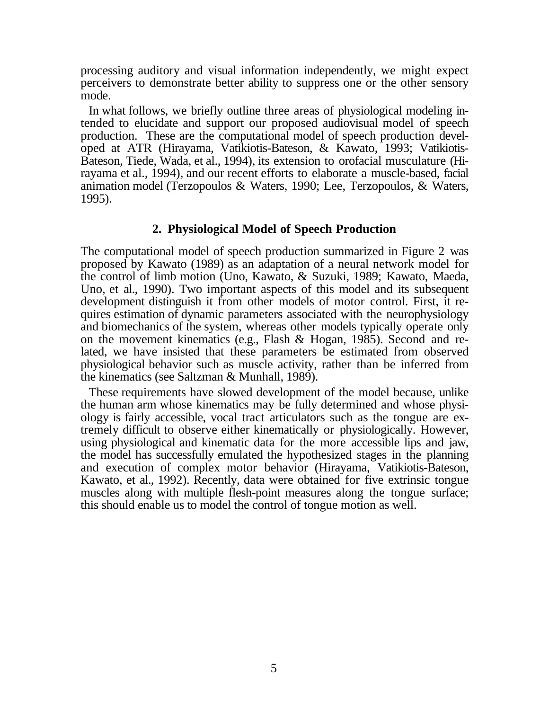processing auditory and visual information independently, we might expect perceivers to demonstrate better ability to suppress one or the other sensory mode.

In what follows, we briefly outline three areas of physiological modeling intended to elucidate and support our proposed audiovisual model of speech production. These are the computational model of speech production developed at ATR (Hirayama, Vatikiotis-Bateson, & Kawato, 1993; Vatikiotis-Bateson, Tiede, Wada, et al., 1994), its extension to orofacial musculature (Hirayama et al., 1994), and our recent efforts to elaborate a muscle-based, facial animation model (Terzopoulos & Waters, 1990; Lee, Terzopoulos, & Waters, 1995).

# **2. Physiological Model of Speech Production**

The computational model of speech production summarized in Figure 2 was proposed by Kawato (1989) as an adaptation of a neural network model for the control of limb motion (Uno, Kawato, & Suzuki, 1989; Kawato, Maeda, Uno, et al., 1990). Two important aspects of this model and its subsequent development distinguish it from other models of motor control. First, it requires estimation of dynamic parameters associated with the neurophysiology and biomechanics of the system, whereas other models typically operate only on the movement kinematics (e.g., Flash & Hogan, 1985). Second and related, we have insisted that these parameters be estimated from observed physiological behavior such as muscle activity, rather than be inferred from the kinematics (see Saltzman & Munhall, 1989).

These requirements have slowed development of the model because, unlike the human arm whose kinematics may be fully determined and whose physiology is fairly accessible, vocal tract articulators such as the tongue are extremely difficult to observe either kinematically or physiologically. However, using physiological and kinematic data for the more accessible lips and jaw, the model has successfully emulated the hypothesized stages in the planning and execution of complex motor behavior (Hirayama, Vatikiotis-Bateson, Kawato, et al., 1992). Recently, data were obtained for five extrinsic tongue muscles along with multiple flesh-point measures along the tongue surface; this should enable us to model the control of tongue motion as well.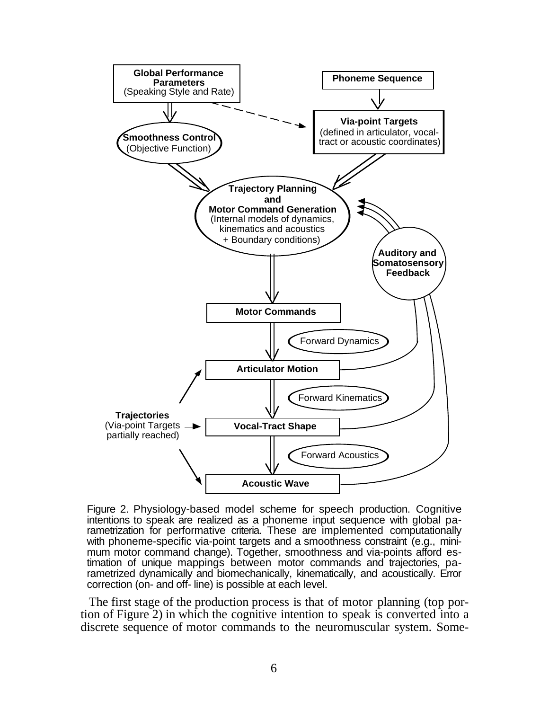

Figure 2. Physiology-based model scheme for speech production. Cognitive intentions to speak are realized as a phoneme input sequence with global parametrization for performative criteria. These are implemented computationally with phoneme-specific via-point targets and a smoothness constraint (e.g., minimum motor command change). Together, smoothness and via-points afford estimation of unique mappings between motor commands and trajectories, parametrized dynamically and biomechanically, kinematically, and acoustically. Error correction (on- and off- line) is possible at each level.

The first stage of the production process is that of motor planning (top portion of Figure 2) in which the cognitive intention to speak is converted into a discrete sequence of motor commands to the neuromuscular system. Some-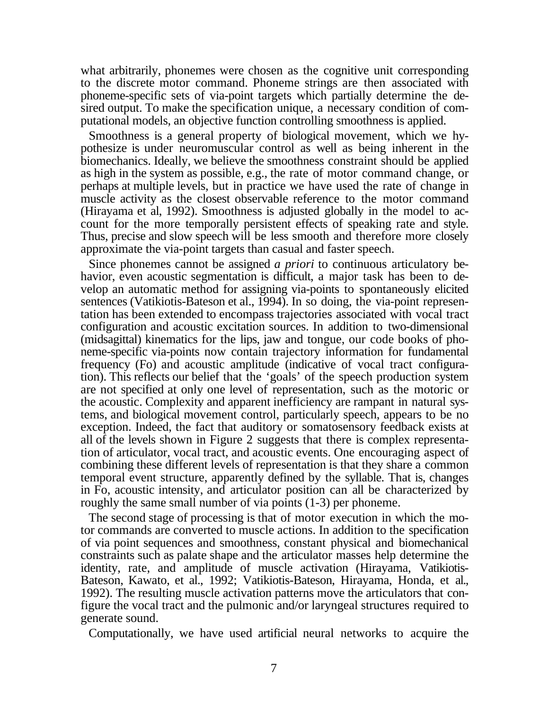what arbitrarily, phonemes were chosen as the cognitive unit corresponding to the discrete motor command. Phoneme strings are then associated with phoneme-specific sets of via-point targets which partially determine the desired output. To make the specification unique, a necessary condition of computational models, an objective function controlling smoothness is applied.

Smoothness is a general property of biological movement, which we hypothesize is under neuromuscular control as well as being inherent in the biomechanics. Ideally, we believe the smoothness constraint should be applied as high in the system as possible, e.g., the rate of motor command change, or perhaps at multiple levels, but in practice we have used the rate of change in muscle activity as the closest observable reference to the motor command (Hirayama et al, 1992). Smoothness is adjusted globally in the model to account for the more temporally persistent effects of speaking rate and style. Thus, precise and slow speech will be less smooth and therefore more closely approximate the via-point targets than casual and faster speech.

Since phonemes cannot be assigned *a priori* to continuous articulatory behavior, even acoustic segmentation is difficult, a major task has been to develop an automatic method for assigning via-points to spontaneously elicited sentences (Vatikiotis-Bateson et al., 1994). In so doing, the via-point representation has been extended to encompass trajectories associated with vocal tract configuration and acoustic excitation sources. In addition to two-dimensional (midsagittal) kinematics for the lips, jaw and tongue, our code books of phoneme-specific via-points now contain trajectory information for fundamental frequency (Fo) and acoustic amplitude (indicative of vocal tract configuration). This reflects our belief that the 'goals' of the speech production system are not specified at only one level of representation, such as the motoric or the acoustic. Complexity and apparent inefficiency are rampant in natural systems, and biological movement control, particularly speech, appears to be no exception. Indeed, the fact that auditory or somatosensory feedback exists at all of the levels shown in Figure 2 suggests that there is complex representation of articulator, vocal tract, and acoustic events. One encouraging aspect of combining these different levels of representation is that they share a common temporal event structure, apparently defined by the syllable. That is, changes in Fo, acoustic intensity, and articulator position can all be characterized by roughly the same small number of via points (1-3) per phoneme.

The second stage of processing is that of motor execution in which the motor commands are converted to muscle actions. In addition to the specification of via point sequences and smoothness, constant physical and biomechanical constraints such as palate shape and the articulator masses help determine the identity, rate, and amplitude of muscle activation (Hirayama, Vatikiotis-Bateson, Kawato, et al., 1992; Vatikiotis-Bateson, Hirayama, Honda, et al., 1992). The resulting muscle activation patterns move the articulators that configure the vocal tract and the pulmonic and/or laryngeal structures required to generate sound.

Computationally, we have used artificial neural networks to acquire the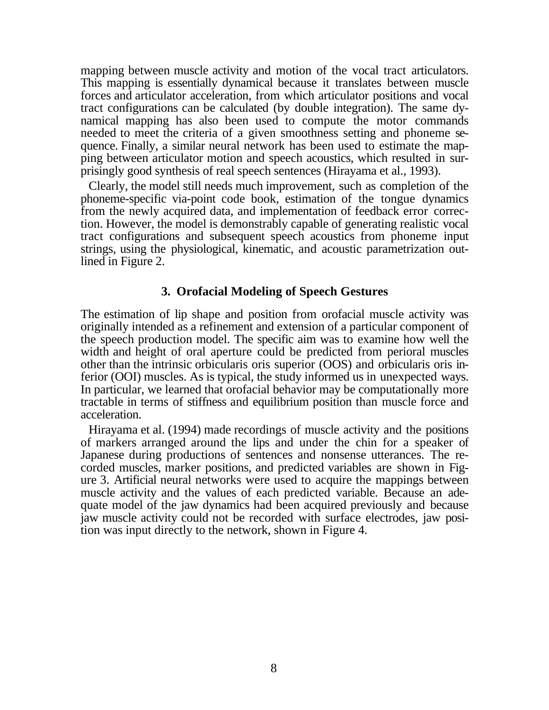mapping between muscle activity and motion of the vocal tract articulators. This mapping is essentially dynamical because it translates between muscle forces and articulator acceleration, from which articulator positions and vocal tract configurations can be calculated (by double integration). The same dynamical mapping has also been used to compute the motor commands needed to meet the criteria of a given smoothness setting and phoneme sequence. Finally, a similar neural network has been used to estimate the mapping between articulator motion and speech acoustics, which resulted in surprisingly good synthesis of real speech sentences (Hirayama et al., 1993).

Clearly, the model still needs much improvement, such as completion of the phoneme-specific via-point code book, estimation of the tongue dynamics from the newly acquired data, and implementation of feedback error correction. However, the model is demonstrably capable of generating realistic vocal tract configurations and subsequent speech acoustics from phoneme input strings, using the physiological, kinematic, and acoustic parametrization outlined in Figure 2.

# **3. Orofacial Modeling of Speech Gestures**

The estimation of lip shape and position from orofacial muscle activity was originally intended as a refinement and extension of a particular component of the speech production model. The specific aim was to examine how well the width and height of oral aperture could be predicted from perioral muscles other than the intrinsic orbicularis oris superior (OOS) and orbicularis oris inferior (OOI) muscles. As is typical, the study informed us in unexpected ways. In particular, we learned that orofacial behavior may be computationally more tractable in terms of stiffness and equilibrium position than muscle force and acceleration.

Hirayama et al. (1994) made recordings of muscle activity and the positions of markers arranged around the lips and under the chin for a speaker of Japanese during productions of sentences and nonsense utterances. The recorded muscles, marker positions, and predicted variables are shown in Figure 3. Artificial neural networks were used to acquire the mappings between muscle activity and the values of each predicted variable. Because an adequate model of the jaw dynamics had been acquired previously and because jaw muscle activity could not be recorded with surface electrodes, jaw position was input directly to the network, shown in Figure 4.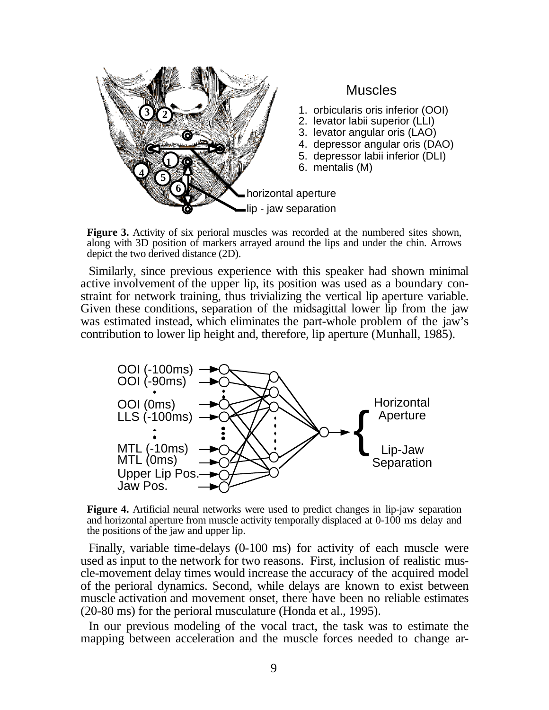

**Figure 3.** Activity of six perioral muscles was recorded at the numbered sites shown, along with 3D position of markers arrayed around the lips and under the chin. Arrows depict the two derived distance (2D).

Similarly, since previous experience with this speaker had shown minimal active involvement of the upper lip, its position was used as a boundary constraint for network training, thus trivializing the vertical lip aperture variable. Given these conditions, separation of the midsagittal lower lip from the jaw was estimated instead, which eliminates the part-whole problem of the jaw's contribution to lower lip height and, therefore, lip aperture (Munhall, 1985).



**Figure 4.** Artificial neural networks were used to predict changes in lip-jaw separation and horizontal aperture from muscle activity temporally displaced at 0-100 ms delay and the positions of the jaw and upper lip.

Finally, variable time-delays (0-100 ms) for activity of each muscle were used as input to the network for two reasons. First, inclusion of realistic muscle-movement delay times would increase the accuracy of the acquired model of the perioral dynamics. Second, while delays are known to exist between muscle activation and movement onset, there have been no reliable estimates (20-80 ms) for the perioral musculature (Honda et al., 1995).

In our previous modeling of the vocal tract, the task was to estimate the mapping between acceleration and the muscle forces needed to change ar-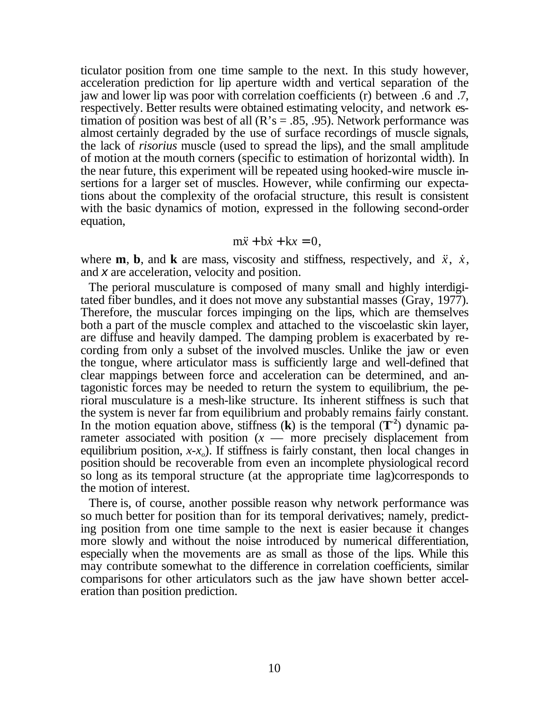ticulator position from one time sample to the next. In this study however, acceleration prediction for lip aperture width and vertical separation of the jaw and lower lip was poor with correlation coefficients (r) between .6 and .7, respectively. Better results were obtained estimating velocity, and network estimation of position was best of all  $(R's = .85, .95)$ . Network performance was almost certainly degraded by the use of surface recordings of muscle signals, the lack of *risorius* muscle (used to spread the lips), and the small amplitude of motion at the mouth corners (specific to estimation of horizontal width). In the near future, this experiment will be repeated using hooked-wire muscle insertions for a larger set of muscles. However, while confirming our expectations about the complexity of the orofacial structure, this result is consistent with the basic dynamics of motion, expressed in the following second-order equation,

$$
m\ddot{x} + b\dot{x} + kx = 0,
$$

where **m**, **b**, and **k** are mass, viscosity and stiffness, respectively, and  $\ddot{x}$ ,  $\dot{x}$ , and **x** are acceleration, velocity and position.

The perioral musculature is composed of many small and highly interdigitated fiber bundles, and it does not move any substantial masses (Gray, 1977). Therefore, the muscular forces impinging on the lips, which are themselves both a part of the muscle complex and attached to the viscoelastic skin layer, are diffuse and heavily damped. The damping problem is exacerbated by recording from only a subset of the involved muscles. Unlike the jaw or even the tongue, where articulator mass is sufficiently large and well-defined that clear mappings between force and acceleration can be determined, and antagonistic forces may be needed to return the system to equilibrium, the perioral musculature is a mesh-like structure. Its inherent stiffness is such that the system is never far from equilibrium and probably remains fairly constant. In the motion equation above, stiffness  $(k)$  is the temporal  $(T<sup>2</sup>)$  dynamic parameter associated with position (*x* — more precisely displacement from equilibrium position,  $x-x_0$ ). If stiffness is fairly constant, then local changes in position should be recoverable from even an incomplete physiological record so long as its temporal structure (at the appropriate time lag)corresponds to the motion of interest.

There is, of course, another possible reason why network performance was so much better for position than for its temporal derivatives; namely, predicting position from one time sample to the next is easier because it changes more slowly and without the noise introduced by numerical differentiation, especially when the movements are as small as those of the lips. While this may contribute somewhat to the difference in correlation coefficients, similar comparisons for other articulators such as the jaw have shown better acceleration than position prediction.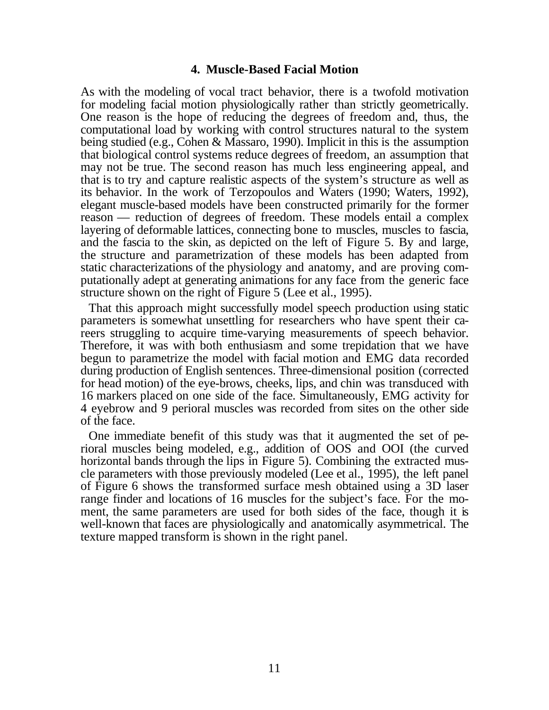## **4. Muscle-Based Facial Motion**

As with the modeling of vocal tract behavior, there is a twofold motivation for modeling facial motion physiologically rather than strictly geometrically. One reason is the hope of reducing the degrees of freedom and, thus, the computational load by working with control structures natural to the system being studied (e.g., Cohen & Massaro, 1990). Implicit in this is the assumption that biological control systems reduce degrees of freedom, an assumption that may not be true. The second reason has much less engineering appeal, and that is to try and capture realistic aspects of the system's structure as well as its behavior. In the work of Terzopoulos and Waters (1990; Waters, 1992), elegant muscle-based models have been constructed primarily for the former reason — reduction of degrees of freedom. These models entail a complex layering of deformable lattices, connecting bone to muscles, muscles to fascia, and the fascia to the skin, as depicted on the left of Figure 5. By and large, the structure and parametrization of these models has been adapted from static characterizations of the physiology and anatomy, and are proving computationally adept at generating animations for any face from the generic face structure shown on the right of Figure 5 (Lee et al., 1995).

That this approach might successfully model speech production using static parameters is somewhat unsettling for researchers who have spent their careers struggling to acquire time-varying measurements of speech behavior. Therefore, it was with both enthusiasm and some trepidation that we have begun to parametrize the model with facial motion and EMG data recorded during production of English sentences. Three-dimensional position (corrected for head motion) of the eye-brows, cheeks, lips, and chin was transduced with 16 markers placed on one side of the face. Simultaneously, EMG activity for 4 eyebrow and 9 perioral muscles was recorded from sites on the other side of the face.

One immediate benefit of this study was that it augmented the set of perioral muscles being modeled, e.g., addition of OOS and OOI (the curved horizontal bands through the lips in Figure 5). Combining the extracted muscle parameters with those previously modeled (Lee et al., 1995), the left panel of Figure 6 shows the transformed surface mesh obtained using a 3D laser range finder and locations of 16 muscles for the subject's face. For the moment, the same parameters are used for both sides of the face, though it is well-known that faces are physiologically and anatomically asymmetrical. The texture mapped transform is shown in the right panel.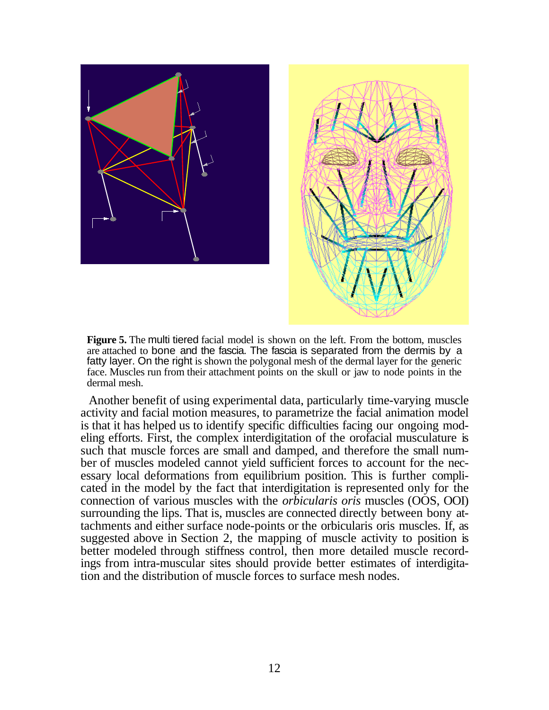



**Figure 5.** The multi tiered facial model is shown on the left. From the bottom, muscles are attached to bone and the fascia. The fascia is separated from the dermis by a fatty layer. On the right is shown the polygonal mesh of the dermal layer for the generic face. Muscles run from their attachment points on the skull or jaw to node points in the dermal mesh.

Another benefit of using experimental data, particularly time-varying muscle activity and facial motion measures, to parametrize the facial animation model is that it has helped us to identify specific difficulties facing our ongoing modeling efforts. First, the complex interdigitation of the orofacial musculature is such that muscle forces are small and damped, and therefore the small number of muscles modeled cannot yield sufficient forces to account for the necessary local deformations from equilibrium position. This is further complicated in the model by the fact that interdigitation is represented only for the connection of various muscles with the *orbicularis oris* muscles (OOS, OOI) surrounding the lips. That is, muscles are connected directly between bony attachments and either surface node-points or the orbicularis oris muscles. If, as suggested above in Section 2, the mapping of muscle activity to position is better modeled through stiffness control, then more detailed muscle recordings from intra-muscular sites should provide better estimates of interdigitation and the distribution of muscle forces to surface mesh nodes.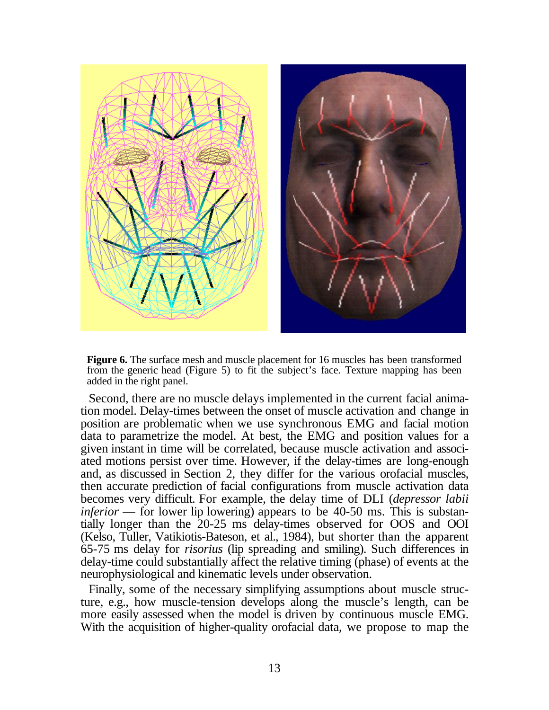

**Figure 6.** The surface mesh and muscle placement for 16 muscles has been transformed from the generic head (Figure 5) to fit the subject's face. Texture mapping has been added in the right panel.

Second, there are no muscle delays implemented in the current facial animation model. Delay-times between the onset of muscle activation and change in position are problematic when we use synchronous EMG and facial motion data to parametrize the model. At best, the EMG and position values for a given instant in time will be correlated, because muscle activation and associated motions persist over time. However, if the delay-times are long-enough and, as discussed in Section 2, they differ for the various orofacial muscles, then accurate prediction of facial configurations from muscle activation data becomes very difficult. For example, the delay time of DLI (*depressor labii inferior* — for lower lip lowering) appears to be 40-50 ms. This is substantially longer than the 20-25 ms delay-times observed for OOS and OOI (Kelso, Tuller, Vatikiotis-Bateson, et al., 1984), but shorter than the apparent 65-75 ms delay for *risorius* (lip spreading and smiling). Such differences in delay-time could substantially affect the relative timing (phase) of events at the neurophysiological and kinematic levels under observation.

Finally, some of the necessary simplifying assumptions about muscle structure, e.g., how muscle-tension develops along the muscle's length, can be more easily assessed when the model is driven by continuous muscle EMG. With the acquisition of higher-quality orofacial data, we propose to map the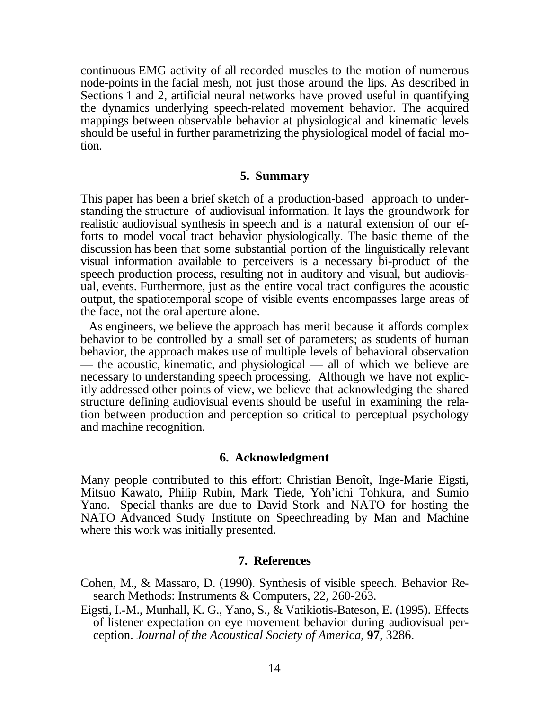continuous EMG activity of all recorded muscles to the motion of numerous node-points in the facial mesh, not just those around the lips. As described in Sections 1 and 2, artificial neural networks have proved useful in quantifying the dynamics underlying speech-related movement behavior. The acquired mappings between observable behavior at physiological and kinematic levels should be useful in further parametrizing the physiological model of facial motion.

## **5. Summary**

This paper has been a brief sketch of a production-based approach to understanding the structure of audiovisual information. It lays the groundwork for realistic audiovisual synthesis in speech and is a natural extension of our efforts to model vocal tract behavior physiologically. The basic theme of the discussion has been that some substantial portion of the linguistically relevant visual information available to perceivers is a necessary bi-product of the speech production process, resulting not in auditory and visual, but audiovisual, events. Furthermore, just as the entire vocal tract configures the acoustic output, the spatiotemporal scope of visible events encompasses large areas of the face, not the oral aperture alone.

As engineers, we believe the approach has merit because it affords complex behavior to be controlled by a small set of parameters; as students of human behavior, the approach makes use of multiple levels of behavioral observation — the acoustic, kinematic, and physiological — all of which we believe are necessary to understanding speech processing. Although we have not explicitly addressed other points of view, we believe that acknowledging the shared structure defining audiovisual events should be useful in examining the relation between production and perception so critical to perceptual psychology and machine recognition.

# **6. Acknowledgment**

Many people contributed to this effort: Christian Benoît, Inge-Marie Eigsti, Mitsuo Kawato, Philip Rubin, Mark Tiede, Yoh'ichi Tohkura, and Sumio Yano. Special thanks are due to David Stork and NATO for hosting the NATO Advanced Study Institute on Speechreading by Man and Machine where this work was initially presented.

### **7. References**

- Cohen, M., & Massaro, D. (1990). Synthesis of visible speech. Behavior Research Methods: Instruments & Computers, 22, 260-263.
- Eigsti, I.-M., Munhall, K. G., Yano, S., & Vatikiotis-Bateson, E. (1995). Effects of listener expectation on eye movement behavior during audiovisual perception. *Journal of the Acoustical Society of America*, **97**, 3286.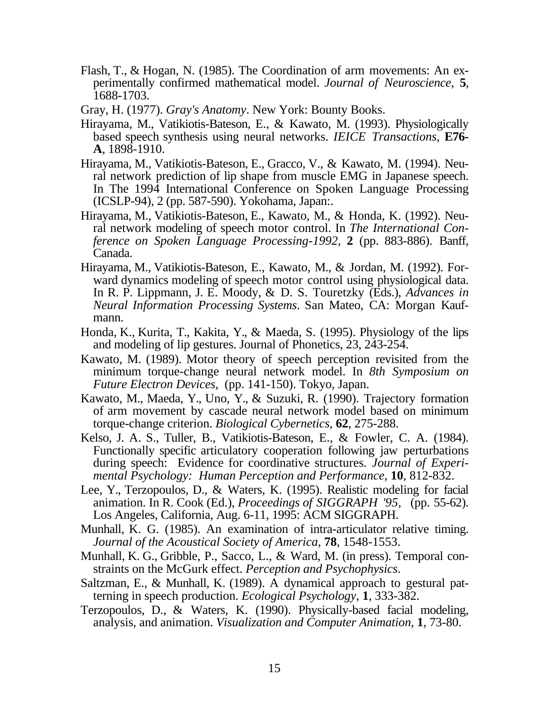- Flash, T., & Hogan, N. (1985). The Coordination of arm movements: An experimentally confirmed mathematical model. *Journal of Neuroscience*, **5**, 1688-1703.
- Gray, H. (1977). *Gray's Anatomy*. New York: Bounty Books.
- Hirayama, M., Vatikiotis-Bateson, E., & Kawato, M. (1993). Physiologically based speech synthesis using neural networks. *IEICE Transactions*, **E76- A**, 1898-1910.
- Hirayama, M., Vatikiotis-Bateson, E., Gracco, V., & Kawato, M. (1994). Neural network prediction of lip shape from muscle EMG in Japanese speech. In The 1994 International Conference on Spoken Language Processing (ICSLP-94), 2 (pp. 587-590). Yokohama, Japan:.
- Hirayama, M., Vatikiotis-Bateson, E., Kawato, M., & Honda, K. (1992). Neural network modeling of speech motor control. In *The International Conference on Spoken Language Processing-1992,* **2** (pp. 883-886). Banff, Canada.
- Hirayama, M., Vatikiotis-Bateson, E., Kawato, M., & Jordan, M. (1992). Forward dynamics modeling of speech motor control using physiological data. In R. P. Lippmann, J. E. Moody, & D. S. Touretzky (Eds.), *Advances in Neural Information Processing Systems*. San Mateo, CA: Morgan Kaufmann.
- Honda, K., Kurita, T., Kakita, Y., & Maeda, S. (1995). Physiology of the lips and modeling of lip gestures. Journal of Phonetics, 23, 243-254.
- Kawato, M. (1989). Motor theory of speech perception revisited from the minimum torque-change neural network model. In *8th Symposium on Future Electron Devices,* (pp. 141-150). Tokyo, Japan.
- Kawato, M., Maeda, Y., Uno, Y., & Suzuki, R. (1990). Trajectory formation of arm movement by cascade neural network model based on minimum torque-change criterion. *Biological Cybernetics*, **62**, 275-288.
- Kelso, J. A. S., Tuller, B., Vatikiotis-Bateson, E., & Fowler, C. A. (1984). Functionally specific articulatory cooperation following jaw perturbations during speech: Evidence for coordinative structures*. Journal of Experimental Psychology: Human Perception and Performance*, **10**, 812-832.
- Lee, Y., Terzopoulos, D., & Waters, K. (1995). Realistic modeling for facial animation. In R. Cook (Ed.), *Proceedings of SIGGRAPH '95,* (pp. 55-62). Los Angeles, California, Aug. 6-11, 1995: ACM SIGGRAPH.
- Munhall, K. G. (1985). An examination of intra-articulator relative timing. *Journal of the Acoustical Society of America*, **78**, 1548-1553.
- Munhall, K. G., Gribble, P., Sacco, L., & Ward, M. (in press). Temporal constraints on the McGurk effect. *Perception and Psychophysics*.
- Saltzman, E., & Munhall, K. (1989). A dynamical approach to gestural patterning in speech production. *Ecological Psychology*, **1**, 333-382.
- Terzopoulos, D., & Waters, K. (1990). Physically-based facial modeling, analysis, and animation. *Visualization and Computer Animation*, **1**, 73-80.